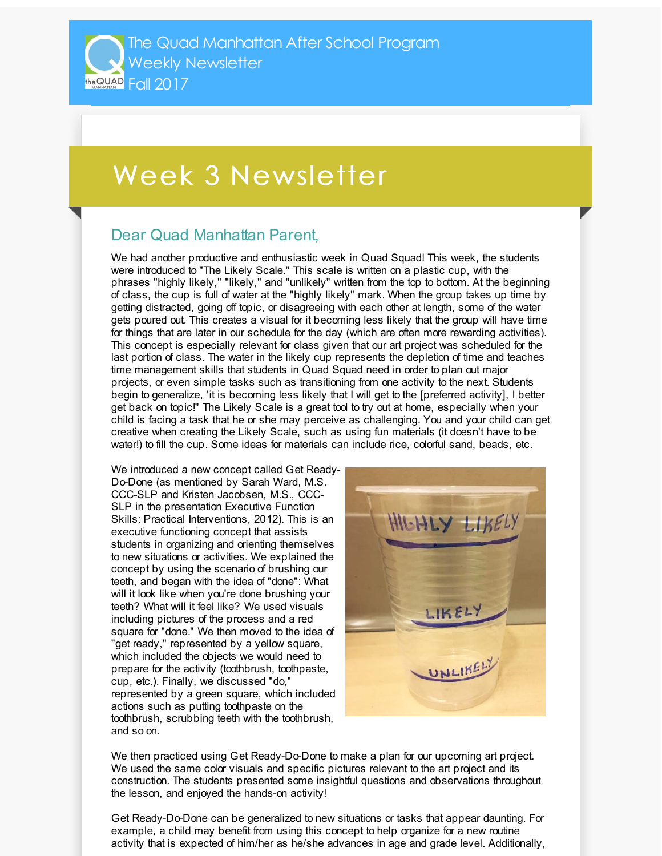## Week 3 Newsletter

## Dear Quad Manhattan Parent,

We had another productive and enthusiastic week in Quad Squad! This week, the students were introduced to "The Likely Scale." This scale is written on a plastic cup, with the phrases "highly likely," "likely," and "unlikely" written from the top to bottom. At the beginning of class, the cup is full of water at the "highly likely" mark. When the group takes up time by getting distracted, going off topic, or disagreeing with each other at length, some of the water gets poured out. This creates a visual for it becoming less likely that the group will have time for things that are later in our schedule for the day (which are often more rewarding activities). This concept is especially relevant for class given that our art project was scheduled for the last portion of class. The water in the likely cup represents the depletion of time and teaches time management skills that students in Quad Squad need in order to plan out major projects, or even simple tasks such as transitioning from one activity to the next. Students begin to generalize, 'it is becoming less likely that I will get to the [preferred activity], I better get back on topic!" The Likely Scale is a great tool to try out at home, especially when your child is facing a task that he or she may perceive as challenging. You and your child can get creative when creating the Likely Scale, such as using fun materials (it doesn't have to be water!) to fill the cup. Some ideas for materials can include rice, colorful sand, beads, etc.

We introduced a new concept called Get Ready-Do-Done (as mentioned by Sarah Ward, M.S. CCC-SLP and Kristen Jacobsen, M.S., CCC-SLP in the presentation Executive Function Skills: Practical Interventions, 2012). This is an executive functioning concept that assists students in organizing and orienting themselves to new situations or activities. We explained the concept by using the scenario of brushing our teeth, and began with the idea of "done": What will it look like when you're done brushing your teeth? What will it feel like? We used visuals including pictures of the process and a red square for "done." We then moved to the idea of "get ready," represented by a yellow square, which included the objects we would need to prepare for the activity (toothbrush, toothpaste, cup, etc.). Finally, we discussed "do," represented by a green square, which included actions such as putting toothpaste on the toothbrush, scrubbing teeth with the toothbrush, and so on.



We then practiced using Get Ready-Do-Done to make a plan for our upcoming art project. We used the same color visuals and specific pictures relevant to the art project and its construction. The students presented some insightful questions and observations throughout the lesson, and enjoyed the hands-on activity!

Get Ready-Do-Done can be generalized to new situations or tasks that appear daunting. For example, a child may benefit from using this concept to help organize for a new routine activity that is expected of him/her as he/she advances in age and grade level. Additionally,